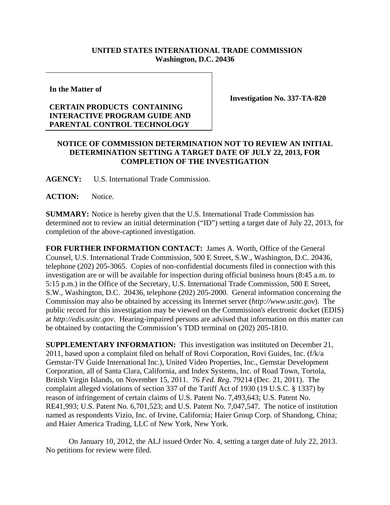## **UNITED STATES INTERNATIONAL TRADE COMMISSION Washington, D.C. 20436**

**In the Matter of** 

## **CERTAIN PRODUCTS CONTAINING INTERACTIVE PROGRAM GUIDE AND PARENTAL CONTROL TECHNOLOGY**

**Investigation No. 337-TA-820** 

## **NOTICE OF COMMISSION DETERMINATION NOT TO REVIEW AN INITIAL DETERMINATION SETTING A TARGET DATE OF JULY 22, 2013, FOR COMPLETION OF THE INVESTIGATION**

**AGENCY:** U.S. International Trade Commission.

ACTION: Notice.

**SUMMARY:** Notice is hereby given that the U.S. International Trade Commission has determined not to review an initial determination ("ID") setting a target date of July 22, 2013, for completion of the above-captioned investigation.

**FOR FURTHER INFORMATION CONTACT:** James A. Worth, Office of the General Counsel, U.S. International Trade Commission, 500 E Street, S.W., Washington, D.C. 20436, telephone (202) 205-3065. Copies of non-confidential documents filed in connection with this investigation are or will be available for inspection during official business hours (8:45 a.m. to 5:15 p.m.) in the Office of the Secretary, U.S. International Trade Commission, 500 E Street, S.W., Washington, D.C. 20436, telephone (202) 205-2000. General information concerning the Commission may also be obtained by accessing its Internet server (*http://www.usitc.gov*). The public record for this investigation may be viewed on the Commission's electronic docket (EDIS) at *http://edis.usitc.gov*. Hearing-impaired persons are advised that information on this matter can be obtained by contacting the Commission's TDD terminal on (202) 205-1810.

**SUPPLEMENTARY INFORMATION:** This investigation was instituted on December 21, 2011, based upon a complaint filed on behalf of Rovi Corporation, Rovi Guides, Inc. (f/k/a Gemstar-TV Guide International Inc.), United Video Properties, Inc., Gemstar Development Corporation, all of Santa Clara, California, and Index Systems, Inc. of Road Town, Tortola, British Virgin Islands, on November 15, 2011. 76 *Fed. Reg.* 79214 (Dec. 21, 2011). The complaint alleged violations of section 337 of the Tariff Act of 1930 (19 U.S.C. § 1337) by reason of infringement of certain claims of U.S. Patent No. 7,493,643; U.S. Patent No. RE41,993; U.S. Patent No. 6,701,523; and U.S. Patent No. 7,047,547. The notice of institution named as respondents Vizio, Inc. of Irvine, California; Haier Group Corp. of Shandong, China; and Haier America Trading, LLC of New York, New York.

On January 10, 2012, the ALJ issued Order No. 4, setting a target date of July 22, 2013. No petitions for review were filed.